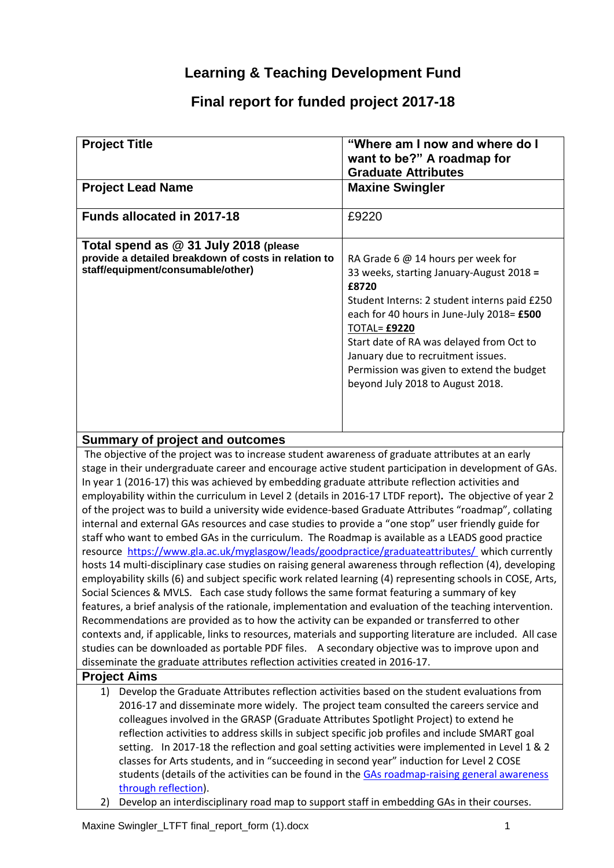# **Learning & Teaching Development Fund**

# **Final report for funded project 2017-18**

| <b>Project Title</b>                                                                                                               | "Where am I now and where do I<br>want to be?" A roadmap for<br><b>Graduate Attributes</b>                                                                                                                                                                                                                                                                                     |
|------------------------------------------------------------------------------------------------------------------------------------|--------------------------------------------------------------------------------------------------------------------------------------------------------------------------------------------------------------------------------------------------------------------------------------------------------------------------------------------------------------------------------|
| <b>Project Lead Name</b>                                                                                                           | <b>Maxine Swingler</b>                                                                                                                                                                                                                                                                                                                                                         |
| <b>Funds allocated in 2017-18</b>                                                                                                  | £9220                                                                                                                                                                                                                                                                                                                                                                          |
| Total spend as @ 31 July 2018 (please<br>provide a detailed breakdown of costs in relation to<br>staff/equipment/consumable/other) | RA Grade 6 @ 14 hours per week for<br>33 weeks, starting January-August 2018 =<br>£8720<br>Student Interns: 2 student interns paid £250<br>each for 40 hours in June-July 2018= £500<br><b>TOTAL= £9220</b><br>Start date of RA was delayed from Oct to<br>January due to recruitment issues.<br>Permission was given to extend the budget<br>beyond July 2018 to August 2018. |

## **Summary of project and outcomes**

The objective of the project was to increase student awareness of graduate attributes at an early stage in their undergraduate career and encourage active student participation in development of GAs. In year 1 (2016-17) this was achieved by embedding graduate attribute reflection activities and employability within the curriculum in Level 2 (details in 2016-17 LTDF report)**.** The objective of year 2 of the project was to build a university wide evidence-based Graduate Attributes "roadmap", collating internal and external GAs resources and case studies to provide a "one stop" user friendly guide for staff who want to embed GAs in the curriculum. The Roadmap is available as a LEADS good practice resource<https://www.gla.ac.uk/myglasgow/leads/goodpractice/graduateattributes/>which currently hosts 14 multi-disciplinary case studies on raising general awareness through reflection (4), developing employability skills (6) and subject specific work related learning (4) representing schools in COSE, Arts, Social Sciences & MVLS. Each case study follows the same format featuring a summary of key features, a brief analysis of the rationale, implementation and evaluation of the teaching intervention. Recommendations are provided as to how the activity can be expanded or transferred to other contexts and, if applicable, links to resources, materials and supporting literature are included. All case studies can be downloaded as portable PDF files. A secondary objective was to improve upon and disseminate the graduate attributes reflection activities created in 2016-17.

## **Project Aims**

- 1) Develop the Graduate Attributes reflection activities based on the student evaluations from 2016-17 and disseminate more widely. The project team consulted the careers service and colleagues involved in the GRASP (Graduate Attributes Spotlight Project) to extend he reflection activities to address skills in subject specific job profiles and include SMART goal setting. In 2017-18 the reflection and goal setting activities were implemented in Level 1 & 2 classes for Arts students, and in "succeeding in second year" induction for Level 2 COSE students (details of the activities can be found in the [GAs roadmap-](https://www.gla.ac.uk/myglasgow/leads/goodpractice/graduateattributes/)raising general awareness through reflection).
- 2) Develop an interdisciplinary road map to support staff in embedding GAs in their courses.